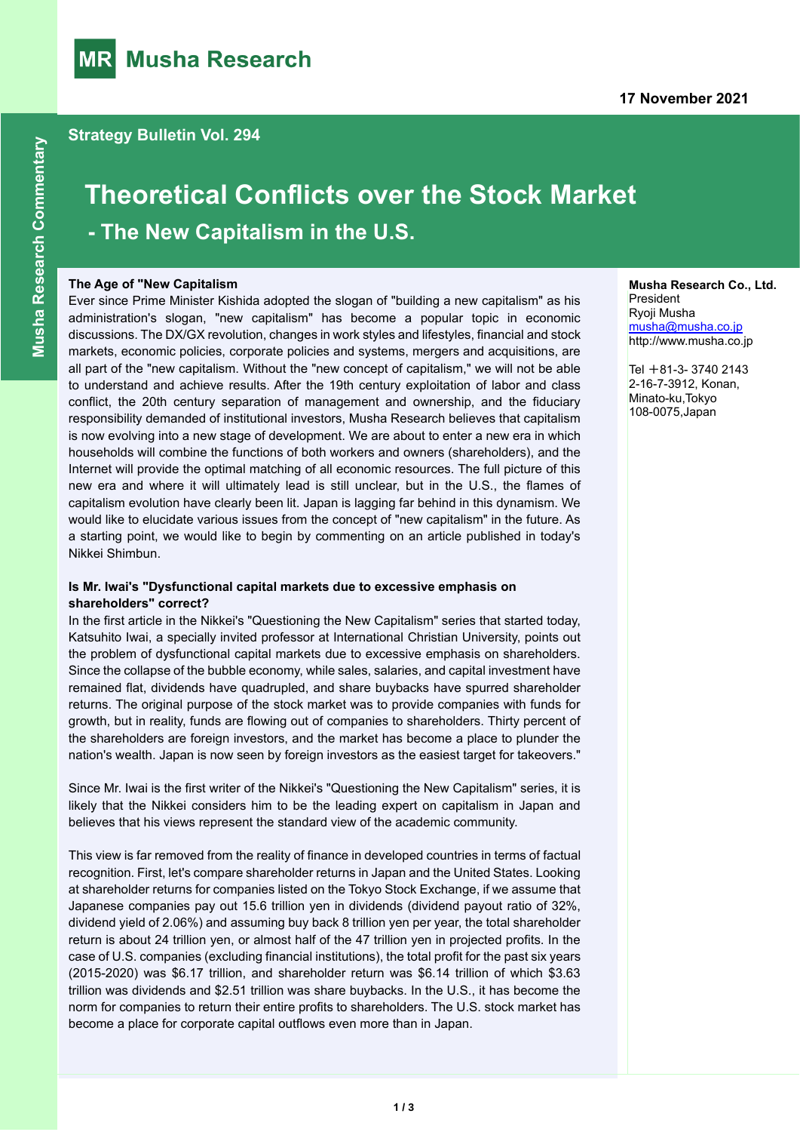

# **Theoretical Conflicts over the Stock Market - The New Capitalism in the U.S.**

#### **The Age of "New Capitalism**

Ever since Prime Minister Kishida adopted the slogan of "building a new capitalism" as his administration's slogan, "new capitalism" has become a popular topic in economic discussions. The DX/GX revolution, changes in work styles and lifestyles, financial and stock markets, economic policies, corporate policies and systems, mergers and acquisitions, are all part of the "new capitalism. Without the "new concept of capitalism," we will not be able to understand and achieve results. After the 19th century exploitation of labor and class conflict, the 20th century separation of management and ownership, and the fiduciary responsibility demanded of institutional investors, Musha Research believes that capitalism is now evolving into a new stage of development. We are about to enter a new era in which households will combine the functions of both workers and owners (shareholders), and the Internet will provide the optimal matching of all economic resources. The full picture of this new era and where it will ultimately lead is still unclear, but in the U.S., the flames of capitalism evolution have clearly been lit. Japan is lagging far behind in this dynamism. We would like to elucidate various issues from the concept of "new capitalism" in the future. As a starting point, we would like to begin by commenting on an article published in today's Nikkei Shimbun.

#### **Is Mr. Iwai's "Dysfunctional capital markets due to excessive emphasis on shareholders" correct?**

In the first article in the Nikkei's "Questioning the New Capitalism" series that started today, Katsuhito Iwai, a specially invited professor at International Christian University, points out the problem of dysfunctional capital markets due to excessive emphasis on shareholders. Since the collapse of the bubble economy, while sales, salaries, and capital investment have remained flat, dividends have quadrupled, and share buybacks have spurred shareholder returns. The original purpose of the stock market was to provide companies with funds for growth, but in reality, funds are flowing out of companies to shareholders. Thirty percent of the shareholders are foreign investors, and the market has become a place to plunder the nation's wealth. Japan is now seen by foreign investors as the easiest target for takeovers."

Since Mr. Iwai is the first writer of the Nikkei's "Questioning the New Capitalism" series, it is likely that the Nikkei considers him to be the leading expert on capitalism in Japan and believes that his views represent the standard view of the academic community.

This view is far removed from the reality of finance in developed countries in terms of factual recognition. First, let's compare shareholder returns in Japan and the United States. Looking at shareholder returns for companies listed on the Tokyo Stock Exchange, if we assume that Japanese companies pay out 15.6 trillion yen in dividends (dividend payout ratio of 32%, dividend yield of 2.06%) and assuming buy back 8 trillion yen per year, the total shareholder return is about 24 trillion yen, or almost half of the 47 trillion yen in projected profits. In the case of U.S. companies (excluding financial institutions), the total profit for the past six years (2015-2020) was \$6.17 trillion, and shareholder return was \$6.14 trillion of which \$3.63 trillion was dividends and \$2.51 trillion was share buybacks. In the U.S., it has become the norm for companies to return their entire profits to shareholders. The U.S. stock market has become a place for corporate capital outflows even more than in Japan.

#### **Musha Research Co., Ltd. President** Ryoji Musha [musha@musha.co.jp](mailto:musha@musha.co.jp)

Tel  $+81-3-37402143$ 2-16-7-3912, Konan, Minato-ku,Tokyo 108-0075,Japan

http://www.musha.co.jp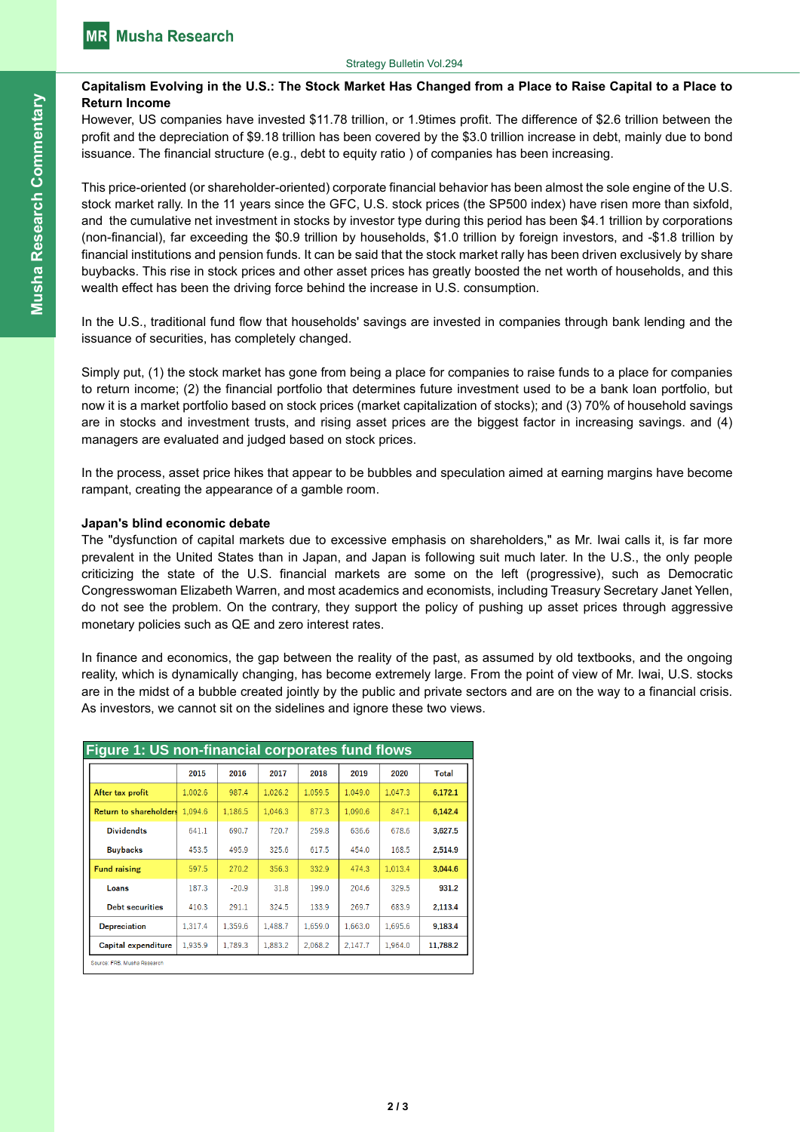### **Capitalism Evolving in the U.S.: The Stock Market Has Changed from a Place to Raise Capital to a Place to Return Income**

However, US companies have invested \$11.78 trillion, or 1.9times profit. The difference of \$2.6 trillion between the profit and the depreciation of \$9.18 trillion has been covered by the \$3.0 trillion increase in debt, mainly due to bond issuance. The financial structure (e.g., debt to equity ratio ) of companies has been increasing.

This price-oriented (or shareholder-oriented) corporate financial behavior has been almost the sole engine of the U.S. stock market rally. In the 11 years since the GFC, U.S. stock prices (the SP500 index) have risen more than sixfold, and the cumulative net investment in stocks by investor type during this period has been \$4.1 trillion by corporations (non-financial), far exceeding the \$0.9 trillion by households, \$1.0 trillion by foreign investors, and -\$1.8 trillion by financial institutions and pension funds. It can be said that the stock market rally has been driven exclusively by share buybacks. This rise in stock prices and other asset prices has greatly boosted the net worth of households, and this wealth effect has been the driving force behind the increase in U.S. consumption.

In the U.S., traditional fund flow that households' savings are invested in companies through bank lending and the issuance of securities, has completely changed.

Simply put, (1) the stock market has gone from being a place for companies to raise funds to a place for companies to return income; (2) the financial portfolio that determines future investment used to be a bank loan portfolio, but now it is a market portfolio based on stock prices (market capitalization of stocks); and (3) 70% of household savings are in stocks and investment trusts, and rising asset prices are the biggest factor in increasing savings. and (4) managers are evaluated and judged based on stock prices.

In the process, asset price hikes that appear to be bubbles and speculation aimed at earning margins have become rampant, creating the appearance of a gamble room.

#### **Japan's blind economic debate**

The "dysfunction of capital markets due to excessive emphasis on shareholders," as Mr. Iwai calls it, is far more prevalent in the United States than in Japan, and Japan is following suit much later. In the U.S., the only people criticizing the state of the U.S. financial markets are some on the left (progressive), such as Democratic Congresswoman Elizabeth Warren, and most academics and economists, including Treasury Secretary Janet Yellen, do not see the problem. On the contrary, they support the policy of pushing up asset prices through aggressive monetary policies such as QE and zero interest rates.

In finance and economics, the gap between the reality of the past, as assumed by old textbooks, and the ongoing reality, which is dynamically changing, has become extremely large. From the point of view of Mr. Iwai, U.S. stocks are in the midst of a bubble created jointly by the public and private sectors and are on the way to a financial crisis. As investors, we cannot sit on the sidelines and ignore these two views.

| <b>Figure 1: US non-financial corporates fund flows</b> |         |         |         |         |         |         |              |
|---------------------------------------------------------|---------|---------|---------|---------|---------|---------|--------------|
|                                                         | 2015    | 2016    | 2017    | 2018    | 2019    | 2020    | <b>Total</b> |
| After tax profit                                        | 1.002.6 | 987.4   | 1.026.2 | 1.059.5 | 1.049.0 | 1.047.3 | 6.172.1      |
| <b>Return to shareholders</b>                           | 1.094.6 | 1.186.5 | 1.046.3 | 877.3   | 1.090.6 | 847.1   | 6.142.4      |
| <b>Dividendts</b>                                       | 641.1   | 690.7   | 720.7   | 259.8   | 636.6   | 678.6   | 3.627.5      |
| <b>Buybacks</b>                                         | 453.5   | 495.9   | 325.6   | 617.5   | 454.0   | 168.5   | 2,514.9      |
| <b>Fund raising</b>                                     | 597.5   | 270.2   | 356.3   | 332.9   | 474.3   | 1,013.4 | 3,044.6      |
| Loans                                                   | 187.3   | $-20.9$ | 31.8    | 199.0   | 204.6   | 329.5   | 931.2        |
| <b>Debt securities</b>                                  | 410.3   | 291.1   | 324.5   | 133.9   | 269.7   | 683.9   | 2.113.4      |
| <b>Depreciation</b>                                     | 1,317.4 | 1.359.6 | 1.488.7 | 1.659.0 | 1.663.0 | 1.695.6 | 9.183.4      |
| Capital expenditure                                     | 1.935.9 | 1.789.3 | 1.883.2 | 2.068.2 | 2.147.7 | 1.964.0 | 11.788.2     |
| Source: FRB, Musha Research                             |         |         |         |         |         |         |              |